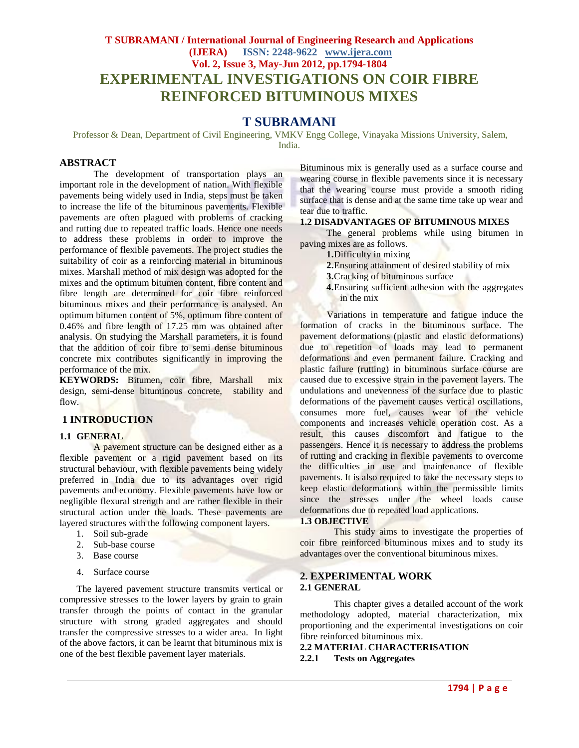# **T SUBRAMANI / International Journal of Engineering Research and Applications (IJERA) ISSN: 2248-9622 www.ijera.com Vol. 2, Issue 3, May-Jun 2012, pp.1794-1804 EXPERIMENTAL INVESTIGATIONS ON COIR FIBRE REINFORCED BITUMINOUS MIXES**

# **T SUBRAMANI**

Professor & Dean, Department of Civil Engineering, VMKV Engg College, Vinayaka Missions University, Salem, India.

### **ABSTRACT**

The development of transportation plays an important role in the development of nation. With flexible pavements being widely used in India, steps must be taken to increase the life of the bituminous pavements. Flexible pavements are often plagued with problems of cracking and rutting due to repeated traffic loads. Hence one needs to address these problems in order to improve the performance of flexible pavements. The project studies the suitability of coir as a reinforcing material in bituminous mixes. Marshall method of mix design was adopted for the mixes and the optimum bitumen content, fibre content and fibre length are determined for coir fibre reinforced bituminous mixes and their performance is analysed. An optimum bitumen content of 5%, optimum fibre content of 0.46% and fibre length of 17.25 mm was obtained after analysis. On studying the Marshall parameters, it is found that the addition of coir fibre to semi dense bituminous concrete mix contributes significantly in improving the performance of the mix.

**KEYWORDS:** Bitumen, coir fibre, Marshall mix design, semi-dense bituminous concrete, stability and flow.

### **1 INTRODUCTION**

#### **1.1 GENERAL**

A pavement structure can be designed either as a flexible pavement or a rigid pavement based on its structural behaviour, with flexible pavements being widely preferred in India due to its advantages over rigid pavements and economy. Flexible pavements have low or negligible flexural strength and are rather flexible in their structural action under the loads. These pavements are layered structures with the following component layers.

- 1. Soil sub-grade
- 2. Sub-base course
- 3. Base course
- 4. Surface course

The layered pavement structure transmits vertical or compressive stresses to the lower layers by grain to grain transfer through the points of contact in the granular structure with strong graded aggregates and should transfer the compressive stresses to a wider area. In light of the above factors, it can be learnt that bituminous mix is one of the best flexible pavement layer materials.

Bituminous mix is generally used as a surface course and wearing course in flexible pavements since it is necessary that the wearing course must provide a smooth riding surface that is dense and at the same time take up wear and tear due to traffic.

#### **1.2 DISADVANTAGES OF BITUMINOUS MIXES**

The general problems while using bitumen in paving mixes are as follows.

**1.**Difficulty in mixing

- **2.**Ensuring attainment of desired stability of mix
- **3.**Cracking of bituminous surface
- **4.**Ensuring sufficient adhesion with the aggregates in the mix

Variations in temperature and fatigue induce the formation of cracks in the bituminous surface. The pavement deformations (plastic and elastic deformations) due to repetition of loads may lead to permanent deformations and even permanent failure. Cracking and plastic failure (rutting) in bituminous surface course are caused due to excessive strain in the pavement layers. The undulations and unevenness of the surface due to plastic deformations of the pavement causes vertical oscillations, consumes more fuel, causes wear of the vehicle components and increases vehicle operation cost. As a result, this causes discomfort and fatigue to the passengers. Hence it is necessary to address the problems of rutting and cracking in flexible pavements to overcome the difficulties in use and maintenance of flexible pavements. It is also required to take the necessary steps to keep elastic deformations within the permissible limits since the stresses under the wheel loads cause deformations due to repeated load applications.

#### **1.3 OBJECTIVE**

This study aims to investigate the properties of coir fibre reinforced bituminous mixes and to study its advantages over the conventional bituminous mixes.

#### **2. EXPERIMENTAL WORK 2.1 GENERAL**

This chapter gives a detailed account of the work methodology adopted, material characterization, mix proportioning and the experimental investigations on coir fibre reinforced bituminous mix.

**2.2 MATERIAL CHARACTERISATION 2.2.1 Tests on Aggregates**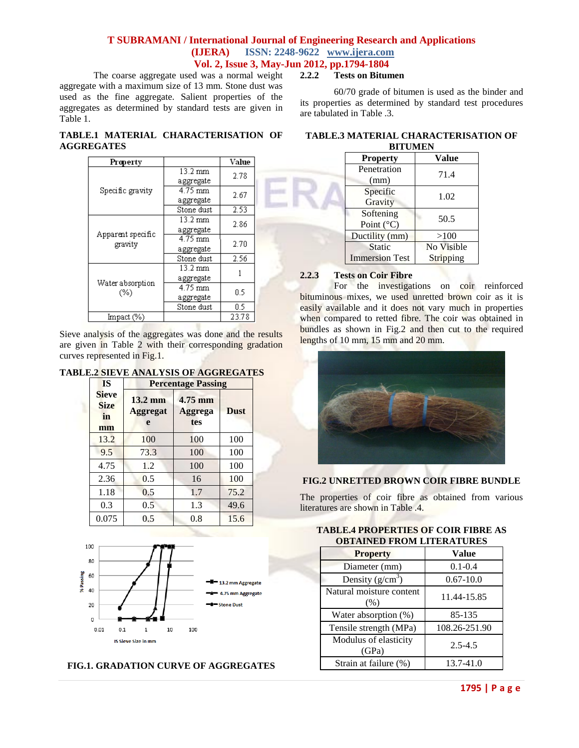The coarse aggregate used was a normal weight aggregate with a maximum size of 13 mm. Stone dust was used as the fine aggregate. Salient properties of the aggregates as determined by standard tests are given in Table 1.

## **2.2.2 Tests on Bitumen**

60/70 grade of bitumen is used as the binder and its properties as determined by standard test procedures are tabulated in Table .3.

### **TABLE.1 MATERIAL CHARACTERISATION OF AGGREGATES**

| Property          |                   | Value |
|-------------------|-------------------|-------|
|                   | 13.2 mm           | 2.78  |
|                   | aggregate         |       |
| Specific gravity  | 4.75 mm           | 2.67  |
|                   | aggregate         |       |
|                   | Stone dust        | 2.53  |
|                   | 13.2 mm           | 2.86  |
| Apparent specific | aggregate         |       |
|                   | 4.75 mm           | 2.70  |
| gravity           | aggregate         |       |
|                   | Stone dust        | 2.56  |
|                   | $13.2 \text{ mm}$ |       |
|                   | aggregate         |       |
| Water absorption  | 4.75 mm           | 0.5   |
| (%)               | aggregate         |       |
|                   | Stone dust        | 0.5   |
| Impact (%)        |                   | 23.78 |

Sieve analysis of the aggregates was done and the results are given in Table 2 with their corresponding gradation curves represented in Fig.1.

## **TABLE.2 SIEVE ANALYSIS OF AGGREGATES**

| <b>IS</b>                               | <b>Percentage Passing</b>                 |                           |             |  |  |  |  |  |  |
|-----------------------------------------|-------------------------------------------|---------------------------|-------------|--|--|--|--|--|--|
| <b>Sieve</b><br><b>Size</b><br>in<br>mm | $13.2 \text{ mm}$<br><b>Aggregat</b><br>e | 4.75 mm<br>Aggrega<br>tes | <b>Dust</b> |  |  |  |  |  |  |
| 13.2                                    | 100                                       | 100                       | 100         |  |  |  |  |  |  |
| 9.5                                     | 73.3                                      | 100                       | 100         |  |  |  |  |  |  |
| 4.75                                    | 1.2                                       | 100                       | 100         |  |  |  |  |  |  |
| 2.36                                    | 0.5                                       | 16                        | 100         |  |  |  |  |  |  |
| 1.18                                    | 0.5                                       | 1.7                       | 75.2        |  |  |  |  |  |  |
| 0.3                                     | 0.5                                       | 1.3                       | 49.6        |  |  |  |  |  |  |
| 0.075                                   | 0.5                                       | 0.8                       | 15.6        |  |  |  |  |  |  |



### **FIG.1. GRADATION CURVE OF AGGREGATES**

#### **TABLE.3 MATERIAL CHARACTERISATION OF BITUMEN**

| <b>Property</b>       | Value      |
|-----------------------|------------|
| Penetration           | 71.4       |
| (mm)                  |            |
| Specific              | 1.02       |
| Gravity               |            |
| Softening             | 50.5       |
| Point $(^{\circ}C)$   |            |
| Ductility (mm)        | >100       |
| Static                | No Visible |
| <b>Immersion Test</b> | Stripping  |

### **2.2.3 Tests on Coir Fibre**

For the investigations on coir reinforced bituminous mixes, we used unretted brown coir as it is easily available and it does not vary much in properties when compared to retted fibre. The coir was obtained in bundles as shown in Fig.2 and then cut to the required lengths of 10 mm, 15 mm and 20 mm.



### **FIG.2 UNRETTED BROWN COIR FIBRE BUNDLE**

The properties of coir fibre as obtained from various literatures are shown in Table .4.

| <b>OBTAINED FROM LITERATURES</b> |               |  |  |  |  |  |
|----------------------------------|---------------|--|--|--|--|--|
| <b>Property</b>                  | Value         |  |  |  |  |  |
| Diameter (mm)                    | $0.1 - 0.4$   |  |  |  |  |  |
| Density $(g/cm^3)$               | $0.67 - 10.0$ |  |  |  |  |  |
| Natural moisture content<br>(%)  | 11.44-15.85   |  |  |  |  |  |
| Water absorption (%)             | 85-135        |  |  |  |  |  |
| Tensile strength (MPa)           | 108.26-251.90 |  |  |  |  |  |
| Modulus of elasticity<br>(GPa)   | $2.5 - 4.5$   |  |  |  |  |  |
| Strain at failure (%)            | 13.7-41.0     |  |  |  |  |  |

### **TABLE.4 PROPERTIES OF COIR FIBRE AS OBTAINED FROM LITERATURES**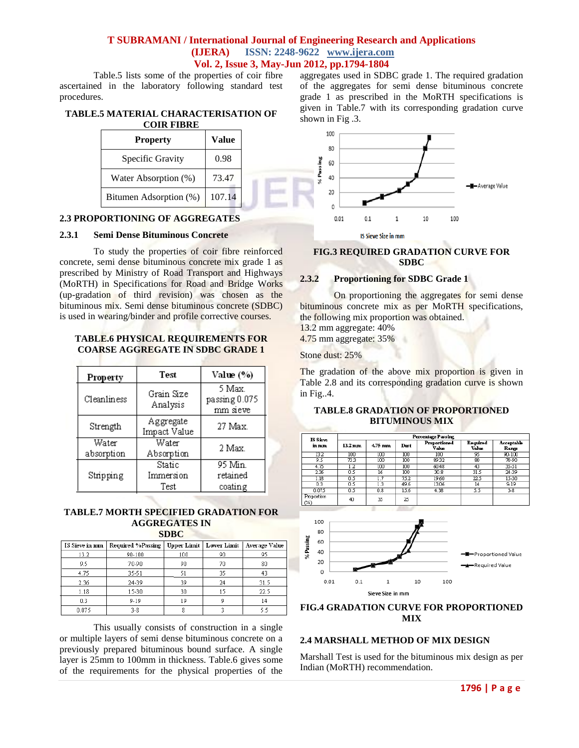Table.5 lists some of the properties of coir fibre ascertained in the laboratory following standard test procedures.

#### **TABLE.5 MATERIAL CHARACTERISATION OF COIR FIBRE**

| Specific Gravity<br>Water Absorption (%) | <b>Value</b> |  |
|------------------------------------------|--------------|--|
|                                          | 0.98         |  |
|                                          | 73.47        |  |
| Bitumen Adsorption (%)                   | 107.14       |  |

#### **2.3 PROPORTIONING OF AGGREGATES**

#### **2.3.1 Semi Dense Bituminous Concrete**

To study the properties of coir fibre reinforced concrete, semi dense bituminous concrete mix grade 1 as prescribed by Ministry of Road Transport and Highways (MoRTH) in Specifications for Road and Bridge Works (up-gradation of third revision) was chosen as the bituminous mix. Semi dense bituminous concrete (SDBC) is used in wearing/binder and profile corrective courses.

#### **TABLE.6 PHYSICAL REQUIREMENTS FOR COARSE AGGREGATE IN SDBC GRADE 1**

| Property            | Test                        | Value (%)                           |
|---------------------|-----------------------------|-------------------------------------|
| Cleanliness         | Grain Size<br>Analysis      | 5 Max.<br>passing 0.075<br>mm sieve |
| Strength            | Aggregate<br>Impact Value   | 27 Max.                             |
| Water<br>absorption | Water<br>Absorption         | 2 Max.                              |
| Stripping           | Static<br>Immersion<br>Test | 95 Min.<br>retained<br>coating      |

#### **TABLE.7 MORTH SPECIFIED GRADATION FOR AGGREGATES IN SDBC**

| IS Sieve in mm | Required %Passing |     | Upper Limit   Lower Limit | Average Value |  |  |  |  |  |
|----------------|-------------------|-----|---------------------------|---------------|--|--|--|--|--|
| 13.2           | 90-100            | 100 | 90                        | 95            |  |  |  |  |  |
| 9.5            | 70-90             | 90  | 70                        | 80            |  |  |  |  |  |
| 4.75           | 35-51             | 51  | 35                        | 43            |  |  |  |  |  |
| 2.36           | 24-39             | 39  | 24                        | 31.5          |  |  |  |  |  |
| 1.18           | 15-30             | 30  | 15                        | 22.5          |  |  |  |  |  |
| 0.3            | $9 - 19$          | 19  |                           | 14            |  |  |  |  |  |
| 0.075          | $3 - 8$           | 8   |                           |               |  |  |  |  |  |

This usually consists of construction in a single or multiple layers of semi dense bituminous concrete on a previously prepared bituminous bound surface. A single layer is 25mm to 100mm in thickness. Table.6 gives some of the requirements for the physical properties of the aggregates used in SDBC grade 1. The required gradation of the aggregates for semi dense bituminous concrete grade 1 as prescribed in the MoRTH specifications is given in Table.7 with its corresponding gradation curve shown in Fig .3.



#### **FIG.3 REQUIRED GRADATION CURVE FOR SDBC**

### **2.3.2 Proportioning for SDBC Grade 1**

On proportioning the aggregates for semi dense bituminous concrete mix as per MoRTH specifications, the following mix proportion was obtained.

13.2 mm aggregate: 40% 4.75 mm aggregate: 35%

Stone dust: 25%

The gradation of the above mix proportion is given in Table 2.8 and its corresponding gradation curve is shown in Fig..4.

### **TABLE.8 GRADATION OF PROPORTIONED BITUMINOUS MIX**

| <b>IS Sieve</b>   | Percentage Passing |                  |      |                       |                   |                     |  |  |  |  |
|-------------------|--------------------|------------------|------|-----------------------|-------------------|---------------------|--|--|--|--|
| in mm             | $13.2 \text{ mm}$  | 4.75 mm          | Dust | Proportioned<br>Value | Required<br>Value | Acceptable<br>Range |  |  |  |  |
| 132               | $100 -$            | $100-$           | 100  | 100                   | 95                | $90 - 100$          |  |  |  |  |
| 9.5               | 733                | $100-1$          | 100  | 8932                  | 80                | $70-90$             |  |  |  |  |
| 4.75              | 1.2                | 100 <sub>1</sub> | 100  | 60.48                 | 43                | 35-51               |  |  |  |  |
| 2.36              | 0.5                | 16               | 100  | 30.8                  | 315               | 24-39               |  |  |  |  |
| 1.18              | 0.5                | 1.7              | 75.2 | 1960                  | 225               | 15-30               |  |  |  |  |
| 0.3               | 0.5                | LЗ               | 49.6 | 13.06                 | 14                | $9-19$              |  |  |  |  |
| 0.075             | 0.5                | 0.8              | 15.6 | 4.38                  | 35                | $3-8$               |  |  |  |  |
| Proportion<br>(%) | 40                 | 35               | 25   |                       |                   |                     |  |  |  |  |



### **FIG.4 GRADATION CURVE FOR PROPORTIONED MIX**

### **2.4 MARSHALL METHOD OF MIX DESIGN**

Marshall Test is used for the bituminous mix design as per Indian (MoRTH) recommendation.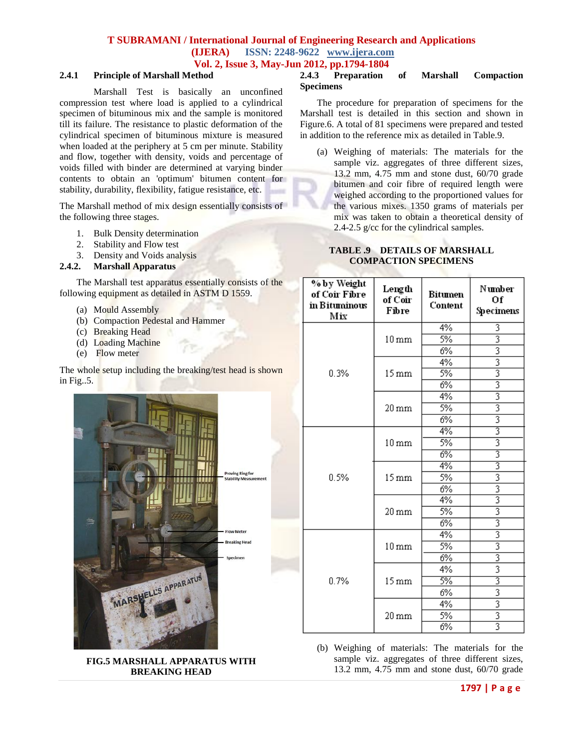### **2.4.1 Principle of Marshall Method**

Marshall Test is basically an unconfined compression test where load is applied to a cylindrical specimen of bituminous mix and the sample is monitored till its failure. The resistance to plastic deformation of the cylindrical specimen of bituminous mixture is measured when loaded at the periphery at 5 cm per minute. Stability and flow, together with density, voids and percentage of voids filled with binder are determined at varying binder contents to obtain an 'optimum' bitumen content for stability, durability, flexibility, fatigue resistance, etc.

The Marshall method of mix design essentially consists of the following three stages.

- 1. Bulk Density determination
- 2. Stability and Flow test
- 3. Density and Voids analysis

### **2.4.2. Marshall Apparatus**

The Marshall test apparatus essentially consists of the following equipment as detailed in ASTM D 1559.

- (a) Mould Assembly
- (b) Compaction Pedestal and Hammer
- (c) Breaking Head
- (d) Loading Machine
- (e) Flow meter

The whole setup including the breaking/test head is shown in Fig..5.



**FIG.5 MARSHALL APPARATUS WITH BREAKING HEAD**

#### **2.4.3 Preparation of Marshall Compaction Specimens**

The procedure for preparation of specimens for the Marshall test is detailed in this section and shown in Figure.6. A total of 81 specimens were prepared and tested in addition to the reference mix as detailed in Table.9.

(a) Weighing of materials: The materials for the sample viz. aggregates of three different sizes, 13.2 mm, 4.75 mm and stone dust, 60/70 grade bitumen and coir fibre of required length were weighed according to the proportioned values for the various mixes. 1350 grams of materials per mix was taken to obtain a theoretical density of 2.4-2.5 g/cc for the cylindrical samples.

### **TABLE .9 DETAILS OF MARSHALL COMPACTION SPECIMENS**

| % by Weight<br>of Coir Fibre<br>in Bituminous<br>Mix | Length<br>of Coir<br>Fibre | Bitumen<br>Content | Number<br>Of<br>Specimens |
|------------------------------------------------------|----------------------------|--------------------|---------------------------|
|                                                      |                            | 4%                 | 3                         |
|                                                      | $10 \,\mathrm{mm}$         | 5%                 | $\overline{3}$            |
|                                                      |                            | 6%                 |                           |
|                                                      |                            | 4%                 | $\frac{3}{3}$             |
| 0.3%                                                 | $15 \,\mathrm{mm}$         | 5%                 |                           |
|                                                      |                            | 6%                 | $\overline{3}$            |
|                                                      |                            | 4%                 | $\overline{3}$            |
|                                                      | $20 \,\rm{mm}$             | 5%                 | $\overline{3}$            |
|                                                      |                            | 6%                 | $\overline{3}$            |
|                                                      |                            | 4%                 | 3                         |
|                                                      | $10 \,\rm{mm}$             | 5%                 | 3                         |
|                                                      |                            | 6%                 | 3                         |
|                                                      |                            | 4%                 | 3                         |
| 0.5%                                                 | $15 \,\mathrm{mm}$         | 5%                 | 3                         |
|                                                      |                            | 6%                 | $rac{3}{3}$               |
|                                                      |                            | 4%                 |                           |
|                                                      | $20 \,\mathrm{mm}$         | 5%                 | $\overline{3}$            |
|                                                      |                            | 6%                 | $\overline{\overline{3}}$ |
|                                                      |                            | 4%                 | $\overline{3}$            |
|                                                      | $10 \,\mathrm{mm}$         | 5%                 | $\overline{3}$            |
|                                                      |                            | 6%                 | $\frac{3}{3}$             |
|                                                      |                            | 4%                 |                           |
| 0.7%                                                 | $15 \,\mathrm{mm}$         | 5%                 | 3                         |
|                                                      |                            | 6%                 | 3                         |
|                                                      |                            | 4%                 | $\overline{3}$            |
|                                                      | $20 \,\mathrm{mm}$         | 5%                 | $\frac{3}{3}$             |
|                                                      |                            | 6%                 |                           |

(b) Weighing of materials: The materials for the sample viz. aggregates of three different sizes, 13.2 mm, 4.75 mm and stone dust, 60/70 grade

#### **1797 | P a g e**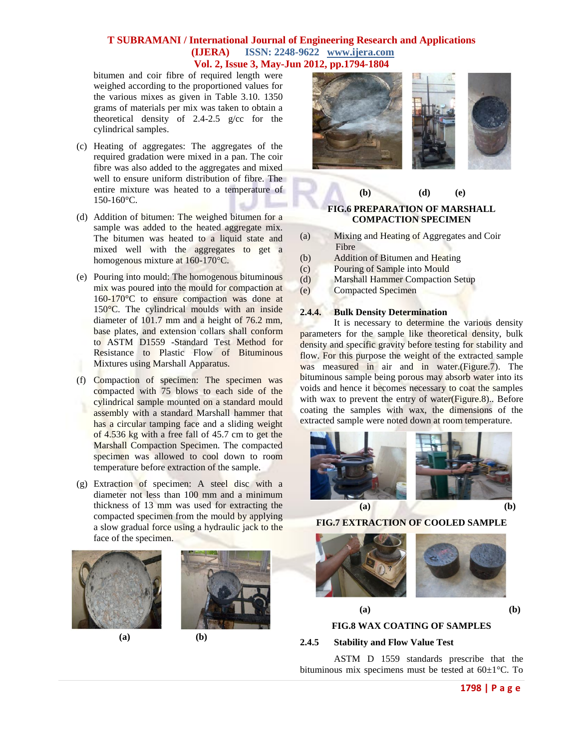bitumen and coir fibre of required length were weighed according to the proportioned values for the various mixes as given in Table 3.10. 1350 grams of materials per mix was taken to obtain a theoretical density of 2.4-2.5 g/cc for the cylindrical samples.

- (c) Heating of aggregates: The aggregates of the required gradation were mixed in a pan. The coir fibre was also added to the aggregates and mixed well to ensure uniform distribution of fibre. The entire mixture was heated to a temperature of 150-160°C.
- (d) Addition of bitumen: The weighed bitumen for a sample was added to the heated aggregate mix. The bitumen was heated to a liquid state and mixed well with the aggregates to get a homogenous mixture at 160-170°C.
- (e) Pouring into mould: The homogenous bituminous mix was poured into the mould for compaction at 160-170°C to ensure compaction was done at 150°C. The cylindrical moulds with an inside diameter of 101.7 mm and a height of 76.2 mm, base plates, and extension collars shall conform to ASTM D1559 -Standard Test Method for Resistance to Plastic Flow of Bituminous Mixtures using Marshall Apparatus.
- (f) Compaction of specimen: The specimen was compacted with 75 blows to each side of the cylindrical sample mounted on a standard mould assembly with a standard Marshall hammer that has a circular tamping face and a sliding weight of 4.536 kg with a free fall of 45.7 cm to get the Marshall Compaction Specimen. The compacted specimen was allowed to cool down to room temperature before extraction of the sample.
- (g) Extraction of specimen: A steel disc with a diameter not less than 100 mm and a minimum thickness of 13 mm was used for extracting the compacted specimen from the mould by applying a slow gradual force using a hydraulic jack to the face of the specimen.



**(a) (b)**





# **FIG.6 PREPARATION OF MARSHALL COMPACTION SPECIMEN**

**(b) (d) (e)**

- (a) Mixing and Heating of Aggregates and Coir Fibre
- (b) Addition of Bitumen and Heating
- (c) Pouring of Sample into Mould
- (d) Marshall Hammer Compaction Setup
- (e) Compacted Specimen

### **2.4.4. Bulk Density Determination**

It is necessary to determine the various density parameters for the sample like theoretical density, bulk density and specific gravity before testing for stability and flow. For this purpose the weight of the extracted sample was measured in air and in water. (Figure. 7). The bituminous sample being porous may absorb water into its voids and hence it becomes necessary to coat the samples with wax to prevent the entry of water(Figure.8).. Before coating the samples with wax, the dimensions of the extracted sample were noted down at room temperature.



**FIG.7 EXTRACTION OF COOLED SAMPLE**





# **(a) (b) FIG.8 WAX COATING OF SAMPLES**

### **2.4.5 Stability and Flow Value Test**

ASTM D 1559 standards prescribe that the bituminous mix specimens must be tested at 60±1°C. To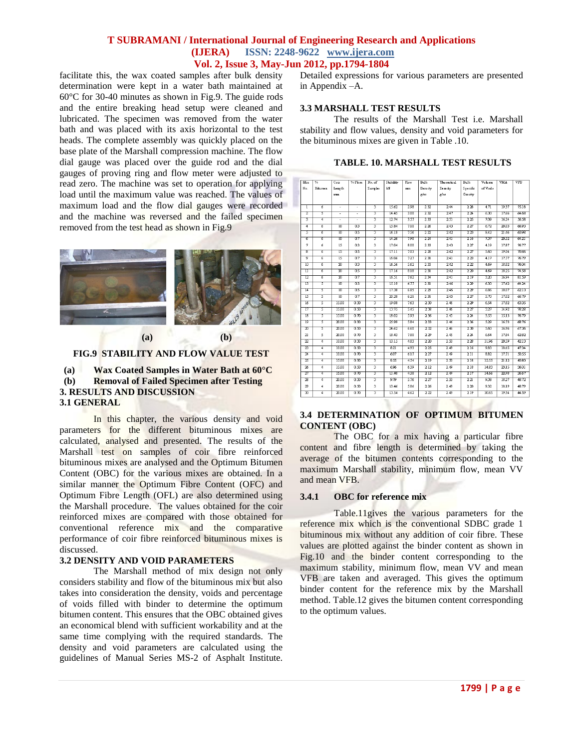facilitate this, the wax coated samples after bulk density determination were kept in a water bath maintained at 60°C for 30-40 minutes as shown in Fig.9. The guide rods and the entire breaking head setup were cleaned and lubricated. The specimen was removed from the water bath and was placed with its axis horizontal to the test heads. The complete assembly was quickly placed on the base plate of the Marshall compression machine. The flow dial gauge was placed over the guide rod and the dial gauges of proving ring and flow meter were adjusted to read zero. The machine was set to operation for applying load until the maximum value was reached. The values of maximum load and the flow dial gauges were recorded and the machine was reversed and the failed specimen removed from the test head as shown in Fig.9



### **FIG.9 STABILITY AND FLOW VALUE TEST**

**(a) Wax Coated Samples in Water Bath at 60°C (b) Removal of Failed Specimen after Testing 3. RESULTS AND DISCUSSION 3.1 GENERAL**

In this chapter, the various density and void parameters for the different bituminous mixes are calculated, analysed and presented. The results of the Marshall test on samples of coir fibre reinforced bituminous mixes are analysed and the Optimum Bitumen Content (OBC) for the various mixes are obtained. In a similar manner the Optimum Fibre Content (OFC) and Optimum Fibre Length (OFL) are also determined using the Marshall procedure. The values obtained for the coir reinforced mixes are compared with those obtained for conventional reference mix and the comparative performance of coir fibre reinforced bituminous mixes is discussed.

#### **3.2 DENSITY AND VOID PARAMETERS**

The Marshall method of mix design not only considers stability and flow of the bituminous mix but also takes into consideration the density, voids and percentage of voids filled with binder to determine the optimum bitumen content. This ensures that the OBC obtained gives an economical blend with sufficient workability and at the same time complying with the required standards. The density and void parameters are calculated using the guidelines of Manual Series MS-2 of Asphalt Institute. Detailed expressions for various parameters are presented in Appendix –A.

### **3.3 MARSHALL TEST RESULTS**

The results of the Marshall Test i.e. Marshall stability and flow values, density and void parameters for the bituminous mixes are given in Table .10.

|  |  |  |  | TABLE. 10. MARSHALL TEST RESULTS |
|--|--|--|--|----------------------------------|
|--|--|--|--|----------------------------------|

| Mix                     | ℅                       | Coir            | $%$ Fbre        | No.of                   | Stability | Flow | <b>Bulk</b>       | Theoretical | Bulk     | Volume   | VMA   | VFB               |
|-------------------------|-------------------------|-----------------|-----------------|-------------------------|-----------|------|-------------------|-------------|----------|----------|-------|-------------------|
| No.                     | Bitumen                 | Length          |                 | <b>Samples</b>          | kN        | mm   | Density           | Dens itv    | Specific | of Voids |       |                   |
|                         |                         | mm              |                 |                         |           |      | glec              | zicc        | Gravity  |          |       |                   |
|                         |                         |                 |                 |                         |           |      |                   |             |          |          |       |                   |
| ī                       | Ã                       | ä,              | ä,              | 3                       | 15.62     | 298  | 232               | 2.44        | 228      | 4.71     | 1937  | 7518              |
| $\overline{2}$          | 7                       | ä,              | ÷               | 3                       | 14.45     | 3.00 | 2.32              | 2.47        | 2.24     | 6.30     | 17.66 | 64.68             |
| 3                       | 4                       | τ               | τ               | з                       | 12.74     | 357  | 233               | 251         | 2.25     | 7.09     | 1624  | 56.58             |
| 4                       | ñ                       | $\overline{10}$ | n٩              | 3                       | 15.84     | 7.10 | 226               | 2.43        | 2.27     | 6.72     | 20.03 | 6693              |
| 3                       | ó                       | 10              | 0S              | 3                       | 16.18     | 756  | 222               | 2.42        | 223      | 8.42     | 21.46 | 6098              |
| ъ                       | ъ                       | 10              | 07              | з                       | 14.26     | 798  | 224               | 241         | 2.16     | 737      | 2052  | 64.21             |
| 7                       | 6                       | 15              | 0.3             | 3                       | 17.04     | 8.00 | 233               | 2.43        | 2.27     | 4.19     | 1787  | 76.77             |
| ह                       | ó.                      | $\overline{15}$ | ŪS              | 3                       | 17.11     | 7.03 | 228               | 242         | 227      | 5.60     | 1904  | 7086              |
| 9                       | 7                       | Τ٢              | $\overline{07}$ | 3                       | 16.06     | 727  | 231               | 241         | 223      | 4.17     | 17.77 | 76.79             |
| 10                      | 6                       | w               | 03              | 3                       | 16.56     | 562  | 233               | 2.42        | 222      | 4.69     | 1882  | 76.04             |
| π                       | 6                       | w               | O.S             | 3                       | 17.16     | 8.18 | 231               | 242         | 220      | 4.69     | 1825  | 74 S <sub>8</sub> |
| $\overline{12}$         | 6                       | w               | 0.7             | 3                       | 16.51     | 7.62 | 234               | 241         | 219      | 3.20     | 1694  | 81.59             |
| $\overline{13}$         | 3                       | 10              | 03              | 3                       | 15.19     | 677  | 231               | 246         | 229      | 6.30     | 1762  | 6424              |
| $\overline{14}$         | 3                       | $\overline{10}$ | 0.5             | 3                       | 17.38     | 6.85 | 229               | 246         | 229      | 6.86     | 18.07 | 6213              |
| 15                      | 3                       | $\overline{10}$ | 07              | 3                       | 20.28     | 621  | 231               | 245         | 2.27     | 5.70     | 17.02 | 66.79             |
| $\overline{16}$         | $\overline{\mathsf{s}}$ | 15.00           | 0.30            |                         | 19.08     | 763  | 230               | 2.46        | 229      | 6.54     | 1782  | 6335              |
| $\overline{17}$         | $\overline{\mathsf{S}}$ | 15.00           | 0.90            | $\overline{3}$          | 13.75     | 545  | 233               | 2.46        | 227      | 3.27     | 14.92 | 78.28             |
| $\overline{18}$         | 3                       | 15.00           | 0.70            | $\overline{\mathbf{3}}$ | 18.02     | 593  | 236               | 2.45        | 2.24     | 3.55     | 1513  | 76.79             |
| $\overline{19}$         | 3                       | 20.00           | 0.30            | 3                       | 25.99     | 5.84 | 233               | 2.46        | 236      | 5.29     | 16.73 | 68.76             |
| w                       | τ                       | 20.00           | 0.30            | 3                       | 24.62     | 6.60 | 232               | 2.46        | 230      | 5.60     | 1696  | 6736              |
| 21                      | s                       | 20.00           | 0.70            | 3                       | 18.43     | 780  | 2.29              | 2.45        | 2.24     | 6.64     | 1784  | 6282              |
| $\overline{22}$         | $\overline{4}$          | 1000            | 0.30            | $\overline{3}$          | 10.15     | 4.83 | 220               | 2.30        | 22       | 11.96    | 20.59 | 42.13             |
| $\overline{\mathbf{z}}$ | $\overline{4}$          | 10.00           | 0.90            | $\overline{\mathbf{3}}$ | 8.21      | 493  | 225               | 2.49        | 216      | 9.83     | 18.65 | 4734              |
| и                       | $\overline{4}$          | 10.00           | 0. A            | 3                       | 6.07      | 6.17 | 2.27              | 2.49        | 2Π       | 8.82     | 17.71 | 50.55             |
| $\overline{\mathbf{z}}$ | $\overline{4}$          | 15.00           | 0.30            | 3                       | 9.55      | 4.54 | 2.19              | 2.30        | 2.18     | 12.55    | 2112  | 40.80             |
| z                       | $\overline{4}$          | 15.00           | 0.30            | 3                       | 6.96      | 639  | $\overline{2.12}$ | 2.49        | 2.18     | 14.83    | 2315  | 3601              |
| 27                      | $\overline{4}$          | 1500            | 0.70            | 3                       | 11.40     | 4.38 | 2.12              | 2.49        | 2.17     | 14.66    | 2298  | 3567              |
| A                       | $\overline{4}$          | 2000            | 0.30            |                         | 9.79      | 5.76 | 2.27              | 2.30        | 221      | 9.38     | 1827  | 48.72             |
| 29                      | $\overline{\bf{4}}$     | 20.00           | 0.30            | 3                       | 10.46     | 5.86 | 226               | 2.49        | 220      | 9.32     | 1819  | 48.79             |
| w                       | $\overline{4}$          | 20.00           | 070             | $\overline{3}$          | 13.54     | 462  | 222               | 2.49        | 2.19     | 1085     | 19.54 | 44.59             |

### **3.4 DETERMINATION OF OPTIMUM BITUMEN CONTENT (OBC)**

The OBC for a mix having a particular fibre content and fibre length is determined by taking the average of the bitumen contents corresponding to the maximum Marshall stability, minimum flow, mean VV and mean VFB.

#### **3.4.1 OBC for reference mix**

Table.11gives the various parameters for the reference mix which is the conventional SDBC grade 1 bituminous mix without any addition of coir fibre. These values are plotted against the binder content as shown in Fig.10 and the binder content corresponding to the maximum stability, minimum flow, mean VV and mean VFB are taken and averaged. This gives the optimum binder content for the reference mix by the Marshall method. Table.12 gives the bitumen content corresponding to the optimum values.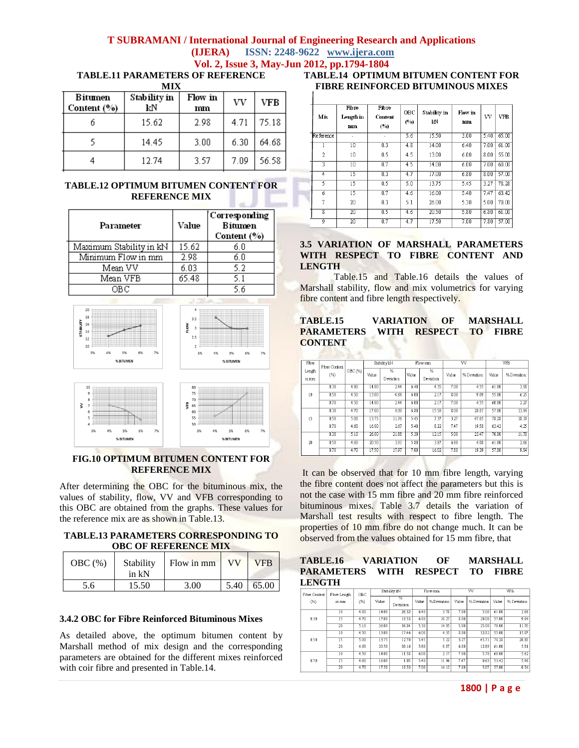**TABLE.11 PARAMETERS OF REFERENCE**

**MIX**

| Bitumen<br>Content (%) | Stability in<br>kΝ | Flow in<br>mm | VV   | VFB   |
|------------------------|--------------------|---------------|------|-------|
|                        | 15.62              | 2.98          | 4.71 | 75.18 |
|                        | 14.45              | 3.00          | 6.30 | 64.68 |
|                        | 12.74              | 3.57          | 7.09 | 56.58 |

### **TABLE.12 OPTIMUM BITUMEN CONTENT FOR REFERENCE MIX**

| Parameter               | Value | [Corresponding]<br><b>Bitumen</b><br>Content (%) |
|-------------------------|-------|--------------------------------------------------|
| Maximum Stability in kN | 15.62 | б. О                                             |
| Minimum Flow in mm      | 2.98  | 6.0                                              |
| Mean VV                 | 6.03  | 5.2                                              |
| Mean VFB                | 65.48 | 5.1                                              |
| OBC                     |       | 5.6                                              |



### **FIG.10 OPTIMUM BITUMEN CONTENT FOR REFERENCE MIX**

After determining the OBC for the bituminous mix, the values of stability, flow, VV and VFB corresponding to this OBC are obtained from the graphs. These values for the reference mix are as shown in Table.13.

#### **TABLE.13 PARAMETERS CORRESPONDING TO OBC OF REFERENCE MIX**

| OBC(%) | Stability<br>in kN | Flow in mm | VV   | <b>VFB</b> |
|--------|--------------------|------------|------|------------|
| 5.6    | 15.50              | 3.00       | 5.40 | 65.00      |

### **3.4.2 OBC for Fibre Reinforced Bituminous Mixes**

As detailed above, the optimum bitumen content by Marshall method of mix design and the corresponding parameters are obtained for the different mixes reinforced with coir fibre and presented in Table.14.

## **TABLE.14 OPTIMUM BITUMEN CONTENT FOR FIBRE REINFORCED BITUMINOUS MIXES**

| Mix       | Fibre<br>Length in<br>mm | Fibre<br><b>Content</b><br>(°) | OBC<br>(°) | Stability in<br>kΝ | Flow in<br>mm | VV   | <b>VFB</b> |
|-----------|--------------------------|--------------------------------|------------|--------------------|---------------|------|------------|
| Reference | ÷                        | ٠                              | 5.6        | 15.50              | 3.00          | 5.40 | 65.00      |
|           | $\overline{10}$          | 0.3                            | 4.8        | 14.00              | 6.40          | 7.00 | 61.00      |
| 2         | 10                       | 0.5                            | 4.5        | 13.00              | 6.00          | 8.00 | 55.00      |
| 3         | $\overline{10}$          | 0.7                            | 4.5        | 14.00              | 6.00          | 7.00 | 60.00      |
| 4         | 15                       | 0.3                            | 4.7        | 17.00              | 6.80          | 8.00 | 57.00      |
| 5         | 15                       | 0.5                            | 5.0        | 13.75              | 5.45          | 3.27 | 78.28      |
| 6         | $\overline{15}$          | 0.7                            | 4.6        | 16.00              | 5.40          | 7.47 | 63.42      |
| 7         | 20                       | 0.3                            | 5.1        | 26.00              | 5.30          | 5.00 | 70.00      |
| 8         | 20                       | 0.5                            | 4.6        | 20.50              | 5.80          | 6.80 | 61.00      |
| 9         | $_{20}$                  | 0.7                            | 4.7        | 17.50              | 7.00          | 7.80 | 57.00      |

#### **3.5 VARIATION OF MARSHALL PARAMETERS WITH RESPECT TO FIBRE CONTENT AND LENGTH**

Table.15 and Table.16 details the values of Marshall stability, flow and mix volumetrics for varying fibre content and fibre length respectively.

### **TABLE.15 VARIATION OF MARSHALL PARAMETERS WITH RESPECT TO FIBRE CONTENT**

| Fibre           | Fibre Content |         |       | Stability kN<br>Flow mm      |       |                            |       | VV          | VFB   |            |
|-----------------|---------------|---------|-------|------------------------------|-------|----------------------------|-------|-------------|-------|------------|
| Length<br>in mm | (%)           | OBC (%) | Value | $\overline{\%}$<br>Deviation | Value | $\frac{9}{6}$<br>Deviation | Value | % Deviation | Value | %Deviation |
|                 | 0.30          | 4.80    | 14.00 | 244                          | 6.40  | 4.35                       | 7.00  | 4.55        | 61.00 | 3.98       |
| 10              | 0.50          | 4.50    | 13.00 | 4.88                         | 6.00  | 2.17                       | 8.00  | 9.09        | 55.00 | 6.25       |
|                 | 0.70          | 4.50    | 14.00 | 244                          | 6.00  | 2.17                       | 7.00  | 4.55        | 60.00 | 2.27       |
|                 | 0.30          | 4.70    | 17.00 | 909                          | 6.80  | 15.58                      | 8.00  | 28.07       | 57.00 | 13.94      |
| 15              | 0.50          | 5.00    | 13.75 | 11.76                        | 5.45  | 7.37                       | 3.27  | 47.65       | 78.28 | 18.19      |
|                 | 0.70          | 4.60    | 16.00 | 2.67                         | 5.40  | 8.22                       | 7.47  | 19.58       | 63.42 | 4.25       |
|                 | 0.30          | 5.10    | 26.00 | 21.88                        | 5.30  | 12.15                      | 5.00  | 23.47       | 70.00 | 11.70      |
| m               | 0.50          | 4.60    | 20.50 | 3.91                         | 5.80  | 3.87                       | 6.80  | 4.08        | 61.00 | 2.66       |
|                 | 0.70          | 4.70    | 17.50 | 17.97                        | 7.00  | 16.02                      | 7.80  | 19.39       | 57.00 | 9.04       |

It can be observed that for 10 mm fibre length, varying the fibre content does not affect the parameters but this is not the case with 15 mm fibre and 20 mm fibre reinforced bituminous mixes. Table 3.7 details the variation of Marshall test results with respect to fibre length. The properties of 10 mm fibre do not change much. It can be observed from the values obtained for 15 mm fibre, that

### **TABLE.16 VARIATION OF MARSHALL PARAMETERS WITH RESPECT TO FIBRE LENGTH**

| Fibre Content | Fibre Length    | OBC  |       | Stability kN   |       | Flowmm     |       | $\overline{\text{vv}}$ |       | <b>VFB</b>  |
|---------------|-----------------|------|-------|----------------|-------|------------|-------|------------------------|-------|-------------|
| (%)           | in mm           | (%)  | Value | %<br>Deviation | Value | %Deviation | Value | %Deviation             | Value | % Deviation |
|               | 10              | 4.80 | 14.00 | 26.32          | 6.40  | 3.78       | 7.00  | 5.00                   | 61.00 | 266         |
| 0.30          | 15              | 4.70 | 17.00 | 10.53          | 6.80  | 10.27      | 8.00  | 20.00                  | 57.00 | 9.04        |
|               | $\overline{20}$ | 5.10 | 26.00 | 36.84          | 5.30  | 14.05      | 5.00  | 25.00                  | 70.00 | 11.70       |
|               | 10              | 4.50 | 13.00 | 17.46          | 6.00  | 4.35       | 8.00  | 32.82                  | 55.00 | 15.07       |
| 0.50          | 15              | 5.00 | 13.75 | 12.70          | 5.45  | 5.22       | 3.27  | 45.71                  | 78.28 | 20.88       |
|               | 20              | 4.60 | 20.50 | 30.16          | 5.80  | 0.87       | 6.80  | 12.89                  | 61.00 | 5.81        |
|               | $\overline{10}$ | 4.50 | 14.00 | 11.58          | 6.00  | 2.17       | 7.00  | 5.70                   | 60.00 | 5.62        |
| 0.70          | 15              | 4.60 | 16.00 | 1.05           | 5.40  | 11.96      | 7.47  | 0.63                   | 53.42 | 5.96        |
|               | 20              | 4.70 | 17.50 | 10.53          | 7.00  | 14.13      | 7.80  | 5.07                   | 57.00 | 0.34        |

**1800 | P a g e**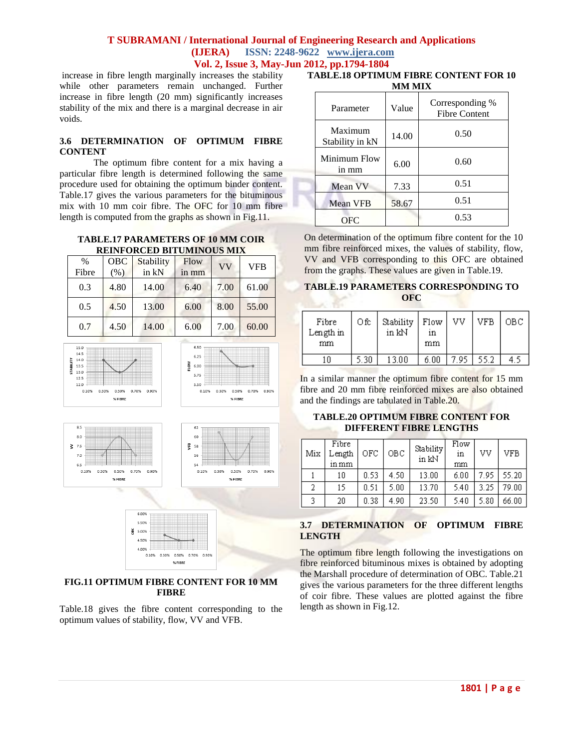increase in fibre length marginally increases the stability while other parameters remain unchanged. Further increase in fibre length (20 mm) significantly increases stability of the mix and there is a marginal decrease in air voids.

### **3.6 DETERMINATION OF OPTIMUM FIBRE CONTENT**

The optimum fibre content for a mix having a particular fibre length is determined following the same procedure used for obtaining the optimum binder content. Table.17 gives the various parameters for the bituminous mix with 10 mm coir fibre. The OFC for 10 mm fibre length is computed from the graphs as shown in Fig.11.

#### **TABLE.17 PARAMETERS OF 10 MM COIR REINFORCED BITUMINOUS MIX**

| $\%$<br>Fibre | <b>OBC</b><br>(% ) | Stability<br>in kN | Flow<br>in mm | VV   | <b>VFB</b> |
|---------------|--------------------|--------------------|---------------|------|------------|
| 0.3           | 4.80               | 14.00              | 6.40          | 7.00 | 61.00      |
| 0.5           | 4.50               | 13.00              | 6.00          | 8.00 | 55.00      |
| 0.7           | 4.50               | 14.00              | 6.00          | 7.00 | 60.00      |





### **FIG.11 OPTIMUM FIBRE CONTENT FOR 10 MM FIBRE**

Table.18 gives the fibre content corresponding to the optimum values of stability, flow, VV and VFB.

| <b>TABLE.18 OPTIMUM FIBRE CONTENT FOR 10</b> |  |
|----------------------------------------------|--|
| MM MIX                                       |  |

| Parameter                  | Value | Corresponding %<br><b>Fibre Content</b> |
|----------------------------|-------|-----------------------------------------|
| Maximum<br>Stability in kN | 14.00 | 0.50                                    |
| Minimum Flow<br>in mm      | 6.00  | 0.60                                    |
| Mean VV                    | 7.33  | 0.51                                    |
| <b>Mean VFB</b>            | 58.67 | 0.51                                    |
| OFC                        |       | 0.53                                    |

On determination of the optimum fibre content for the 10 mm fibre reinforced mixes, the values of stability, flow, VV and VFB corresponding to this OFC are obtained from the graphs. These values are given in Table.19.

### **TABLE.19 PARAMETERS CORRESPONDING TO OFC**

| Fibre<br>Length in<br>mm | Оfс | Stability<br>in kN | $ $ Flow<br>1n<br>mm | VV | VFB  | OBC. |
|--------------------------|-----|--------------------|----------------------|----|------|------|
| ۱n                       | -30 | 3 ՈՈ               | 6.00                 | 95 | 55.2 |      |

In a similar manner the optimum fibre content for 15 mm fibre and 20 mm fibre reinforced mixes are also obtained and the findings are tabulated in Table.20.

### **TABLE.20 OPTIMUM FIBRE CONTENT FOR DIFFERENT FIBRE LENGTHS**

| Mix | Fibre<br>Length<br>in mm | OFC  | <b>OBC</b> | Stability<br>in kN | Flow<br>in<br>mm | VV   | VFB   |
|-----|--------------------------|------|------------|--------------------|------------------|------|-------|
|     | 10                       | 0.53 | 4.50       | 13.00              | 6.00             | 7.95 | 55.20 |
| 2   | 15                       | 0.51 | 5.00       | 13.70              | 5.40             | 3.25 | 79.00 |
| 3   | 20                       | 0.38 | 4.90       | 23.50              | 5.40             | 5.80 | 66.00 |

# **3.7 DETERMINATION OF OPTIMUM FIBRE LENGTH**

The optimum fibre length following the investigations on fibre reinforced bituminous mixes is obtained by adopting the Marshall procedure of determination of OBC. Table.21 gives the various parameters for the three different lengths of coir fibre. These values are plotted against the fibre length as shown in Fig.12.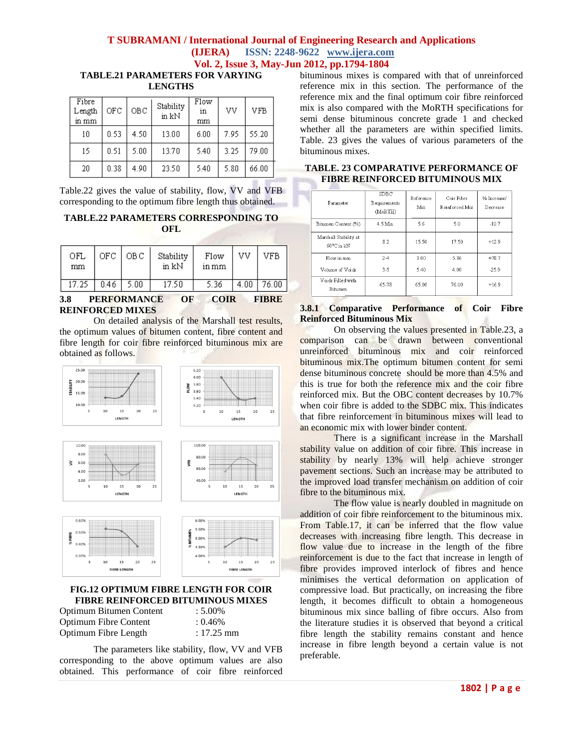**TABLE.21 PARAMETERS FOR VARYING LENGTHS**

| Fibre<br>Length<br>in mm | OFC  | OBC. | Stability<br>in kN | Flow<br>in<br>mm | VV   | VFB   |
|--------------------------|------|------|--------------------|------------------|------|-------|
| 10                       | 0.53 | 4.50 | 13.00              | 6.00             | 7.95 | 55.20 |
| 15                       | 0.51 | 5.00 | 13.70              | 5.40             | 3.25 | 79.00 |
| 20                       | 0.38 | 4.90 | 23.50              | 5.40             | 5.80 | 66.00 |

Table.22 gives the value of stability, flow, VV and VFB corresponding to the optimum fibre length thus obtained.

# **TABLE.22 PARAMETERS CORRESPONDING TO OFL**

| OFL<br>mm | OFC. | OB C | Stability<br>in kN | Flow<br>in mm | vv   | VFB.  |
|-----------|------|------|--------------------|---------------|------|-------|
| 17.25     | 0.46 | 5.00 | 17.50              | 5.36          | 4.00 | 76.00 |

### **3.8 PERFORMANCE OF COIR FIBRE REINFORCED MIXES**

On detailed analysis of the Marshall test results, the optimum values of bitumen content, fibre content and fibre length for coir fibre reinforced bituminous mix are obtained as follows.



### **FIG.12 OPTIMUM FIBRE LENGTH FOR COIR FIBRE REINFORCED BITUMINOUS MIXES**

| Optimum Bitumen Content |  |
|-------------------------|--|
| Optimum Fibre Content   |  |
| Optimum Fibre Length    |  |

 $: 0.46%$  $: 17.25$  mm

 $: 5.00\%$ 

bituminous mixes is compared with that of unreinforced reference mix in this section. The performance of the reference mix and the final optimum coir fibre reinforced mix is also compared with the MoRTH specifications for semi dense bituminous concrete grade 1 and checked whether all the parameters are within specified limits. Table. 23 gives the values of various parameters of the bituminous mixes.

| Parameter                           | <b>SDBC</b><br>Requirements<br>(MoRTH) | Reference<br>Mix | Coir Fibre<br>ReinforcedMix | % Increase/<br>Decrease |
|-------------------------------------|----------------------------------------|------------------|-----------------------------|-------------------------|
| Bitumen Content (%)                 | 4.5 Min.                               | 5.6              | 5.0                         | $-10.7$                 |
| Marshall Stability at<br>60°C in kN | 8.2                                    | 15.50            | 17.50                       | $+12.9$                 |
| Flow in mm                          | $2-4$                                  | 3.00             | 5.36                        | $+78.7$                 |
| Volume of Voids                     | $3-5$                                  | 5.40             | 4.00                        | $-25.9$                 |
| Voids Filled with<br>Bitumen        | 65-78                                  | 65.00            | 76.00                       | $+16.9$                 |

## **TABLE. 23 COMPARATIVE PERFORMANCE OF FIBRE REINFORCED BITUMINOUS MIX**

### **3.8.1 Comparative Performance of Coir Fibre Reinforced Bituminous Mix**

On observing the values presented in Table.23, a comparison can be drawn between conventional unreinforced bituminous mix and coir reinforced bituminous mix.The optimum bitumen content for semi dense bituminous concrete should be more than 4.5% and this is true for both the reference mix and the coir fibre reinforced mix. But the OBC content decreases by 10.7% when coir fibre is added to the SDBC mix. This indicates that fibre reinforcement in bituminous mixes will lead to an economic mix with lower binder content.

There is a significant increase in the Marshall stability value on addition of coir fibre. This increase in stability by nearly 13% will help achieve stronger pavement sections. Such an increase may be attributed to the improved load transfer mechanism on addition of coir fibre to the bituminous mix.

The flow value is nearly doubled in magnitude on addition of coir fibre reinforcement to the bituminous mix. From Table.17, it can be inferred that the flow value decreases with increasing fibre length. This decrease in flow value due to increase in the length of the fibre reinforcement is due to the fact that increase in length of fibre provides improved interlock of fibres and hence minimises the vertical deformation on application of compressive load. But practically, on increasing the fibre length, it becomes difficult to obtain a homogeneous bituminous mix since balling of fibre occurs. Also from the literature studies it is observed that beyond a critical fibre length the stability remains constant and hence increase in fibre length beyond a certain value is not preferable.

The parameters like stability, flow, VV and VFB corresponding to the above optimum values are also obtained. This performance of coir fibre reinforced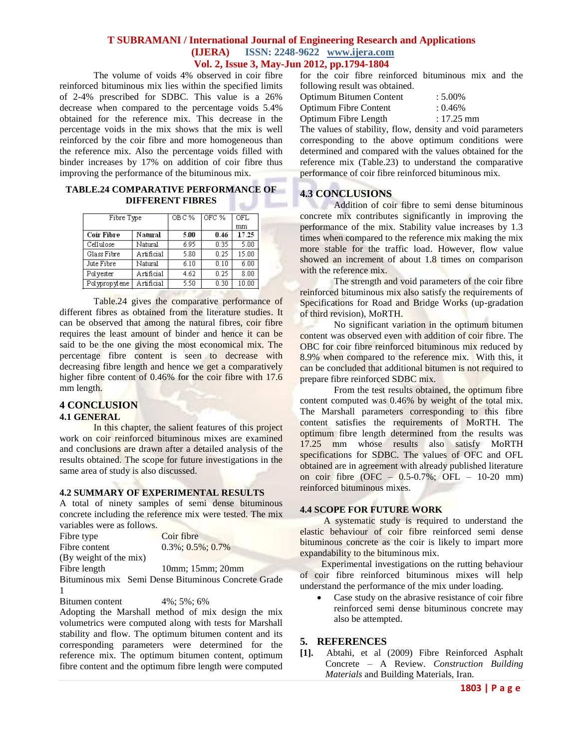The volume of voids 4% observed in coir fibre reinforced bituminous mix lies within the specified limits of 2-4% prescribed for SDBC. This value is a 26% decrease when compared to the percentage voids 5.4% obtained for the reference mix. This decrease in the percentage voids in the mix shows that the mix is well reinforced by the coir fibre and more homogeneous than the reference mix. Also the percentage voids filled with binder increases by 17% on addition of coir fibre thus improving the performance of the bituminous mix.

### **TABLE.24 COMPARATIVE PERFORMANCE OF DIFFERENT FIBRES**

| Fibre Type        |                   | OBC% | OFC % | <b>OFL</b> |
|-------------------|-------------------|------|-------|------------|
|                   |                   |      |       | mm         |
| <b>Coir Fibre</b> | Natural           | 5.00 | 0.46  | 17.25      |
| Cellulose         | Natural           | 6.95 | 0.35  | 5.00       |
| Glass Fibre       | <b>Artificial</b> | 5.80 | 0.25  | 15.00      |
| Jute Fibre        | Natural           | 6.10 | 0.10  | 6.00       |
| Polyester         | Artificial        | 4.62 | 0.25  | 8.00       |
| Polypropylene     | Artificial        | 5.50 | 0.30  | 10.00      |

Table.24 gives the comparative performance of different fibres as obtained from the literature studies. It can be observed that among the natural fibres, coir fibre requires the least amount of binder and hence it can be said to be the one giving the most economical mix. The percentage fibre content is seen to decrease with decreasing fibre length and hence we get a comparatively higher fibre content of 0.46% for the coir fibre with 17.6 mm length.

### **4 CONCLUSION**

#### **4.1 GENERAL**

In this chapter, the salient features of this project work on coir reinforced bituminous mixes are examined and conclusions are drawn after a detailed analysis of the results obtained. The scope for future investigations in the same area of study is also discussed.

### **4.2 SUMMARY OF EXPERIMENTAL RESULTS**

A total of ninety samples of semi dense bituminous concrete including the reference mix were tested. The mix variables were as follows.

| Fibre type             | Coir fibre                                          |
|------------------------|-----------------------------------------------------|
| Fibre content          | $0.3\%$ ; $0.5\%$ ; $0.7\%$                         |
| (By weight of the mix) |                                                     |
| Fibre length           | $10mm$ ; $15mm$ ; $20mm$                            |
|                        | Bituminous mix Semi Dense Bituminous Concrete Grade |
|                        |                                                     |

Bitumen content 4%; 5%; 6%

Adopting the Marshall method of mix design the mix volumetrics were computed along with tests for Marshall stability and flow. The optimum bitumen content and its corresponding parameters were determined for the reference mix. The optimum bitumen content, optimum fibre content and the optimum fibre length were computed

for the coir fibre reinforced bituminous mix and the following result was obtained.

| Optimum Bitumen Content                       | $: 5.00\%$   |
|-----------------------------------------------|--------------|
| <b>Optimum Fibre Content</b>                  | $: 0.46\%$   |
| Optimum Fibre Length                          | $: 17.25$ mm |
| The values of stability flow density and void |              |

The values of stability, flow, density and void parameters corresponding to the above optimum conditions were determined and compared with the values obtained for the reference mix (Table.23) to understand the comparative performance of coir fibre reinforced bituminous mix.

# **4.3 CONCLUSIONS**

Addition of coir fibre to semi dense bituminous concrete mix contributes significantly in improving the performance of the mix. Stability value increases by 1.3 times when compared to the reference mix making the mix more stable for the traffic load. However, flow value showed an increment of about 1.8 times on comparison with the reference mix.

The strength and void parameters of the coir fibre reinforced bituminous mix also satisfy the requirements of Specifications for Road and Bridge Works (up-gradation of third revision), MoRTH.

No significant variation in the optimum bitumen content was observed even with addition of coir fibre. The OBC for coir fibre reinforced bituminous mix reduced by 8.9% when compared to the reference mix. With this, it can be concluded that additional bitumen is not required to prepare fibre reinforced SDBC mix.

From the test results obtained, the optimum fibre content computed was 0.46% by weight of the total mix. The Marshall parameters corresponding to this fibre content satisfies the requirements of MoRTH. The optimum fibre length determined from the results was 17.25 mm whose results also satisfy MoRTH specifications for SDBC. The values of OFC and OFL obtained are in agreement with already published literature on coir fibre (OFC – 0.5-0.7%; OFL – 10-20 mm) reinforced bituminous mixes.

# **4.4 SCOPE FOR FUTURE WORK**

A systematic study is required to understand the elastic behaviour of coir fibre reinforced semi dense bituminous concrete as the coir is likely to impart more expandability to the bituminous mix.

Experimental investigations on the rutting behaviour of coir fibre reinforced bituminous mixes will help understand the performance of the mix under loading.

• Case study on the abrasive resistance of coir fibre reinforced semi dense bituminous concrete may also be attempted.

### **5. REFERENCES**

**[1].** Abtahi, et al (2009) Fibre Reinforced Asphalt Concrete – A Review. *Construction Building Materials* and Building Materials, Iran.